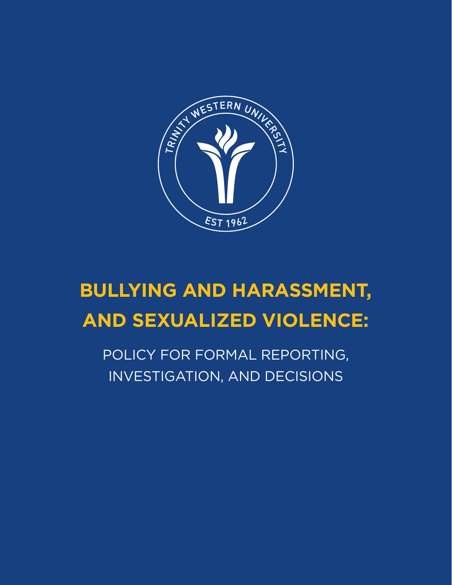

# **BULLYING AND HARASSMENT, AND SEXUALIZED VIOLENCE:**

POLICY FOR FORMAL REPORTING, INVESTIGATION, AND DECISIONS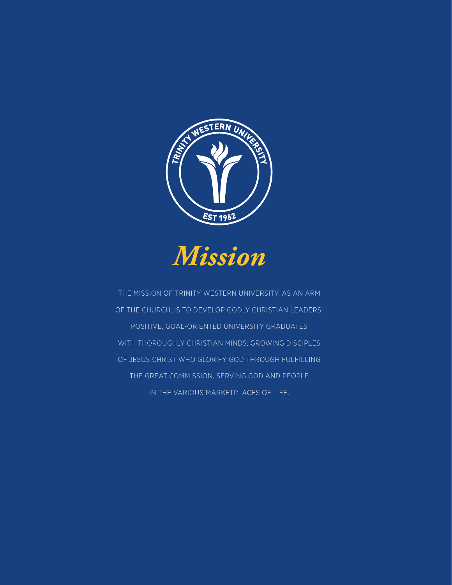

*Mission*

THE MISSION OF TRINITY WESTERN UNIVERSITY, AS AN ARM OF THE CHURCH, IS TO DEVELOP GODLY CHRISTIAN LEADERS: POSITIVE, GOAL-ORIENTED UNIVERSITY GRADUATES WITH THOROUGHLY CHRISTIAN MINDS; GROWING DISCIPLES OF JESUS CHRIST WHO GLORIFY GOD THROUGH FULFILLING THE GREAT COMMISSION, SERVING GOD AND PEOPLE IN THE VARIOUS MARKETPLACES OF LIFE.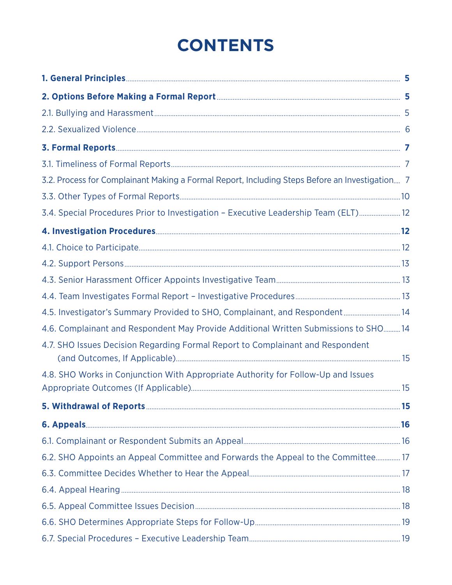# **CONTENTS**

| 3.2. Process for Complainant Making a Formal Report, Including Steps Before an Investigation 7 |  |
|------------------------------------------------------------------------------------------------|--|
|                                                                                                |  |
| 3.4. Special Procedures Prior to Investigation - Executive Leadership Team (ELT) 12            |  |
|                                                                                                |  |
|                                                                                                |  |
|                                                                                                |  |
|                                                                                                |  |
|                                                                                                |  |
| 4.5. Investigator's Summary Provided to SHO, Complainant, and Respondent 14                    |  |
| 4.6. Complainant and Respondent May Provide Additional Written Submissions to SHO14            |  |
| 4.7. SHO Issues Decision Regarding Formal Report to Complainant and Respondent                 |  |
| 4.8. SHO Works in Conjunction With Appropriate Authority for Follow-Up and Issues              |  |
|                                                                                                |  |
|                                                                                                |  |
|                                                                                                |  |
| 6.2. SHO Appoints an Appeal Committee and Forwards the Appeal to the Committee 17              |  |
|                                                                                                |  |
|                                                                                                |  |
|                                                                                                |  |
|                                                                                                |  |
|                                                                                                |  |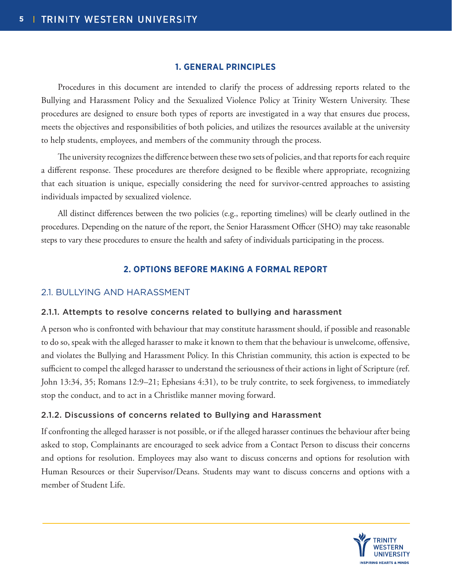### **1. GENERAL PRINCIPLES**

Procedures in this document are intended to clarify the process of addressing reports related to the Bullying and Harassment Policy and the Sexualized Violence Policy at Trinity Western University. These procedures are designed to ensure both types of reports are investigated in a way that ensures due process, meets the objectives and responsibilities of both policies, and utilizes the resources available at the university to help students, employees, and members of the community through the process.

The university recognizes the difference between these two sets of policies, and that reports for each require a different response. These procedures are therefore designed to be flexible where appropriate, recognizing that each situation is unique, especially considering the need for survivor-centred approaches to assisting individuals impacted by sexualized violence.

All distinct differences between the two policies (e.g., reporting timelines) will be clearly outlined in the procedures. Depending on the nature of the report, the Senior Harassment Officer (SHO) may take reasonable steps to vary these procedures to ensure the health and safety of individuals participating in the process.

### **2. OPTIONS BEFORE MAKING A FORMAL REPORT**

### 2.1. BULLYING AND HARASSMENT

### 2.1.1. Attempts to resolve concerns related to bullying and harassment

A person who is confronted with behaviour that may constitute harassment should, if possible and reasonable to do so, speak with the alleged harasser to make it known to them that the behaviour is unwelcome, offensive, and violates the Bullying and Harassment Policy. In this Christian community, this action is expected to be sufficient to compel the alleged harasser to understand the seriousness of their actions in light of Scripture (ref. John 13:34, 35; Romans 12:9–21; Ephesians 4:31), to be truly contrite, to seek forgiveness, to immediately stop the conduct, and to act in a Christlike manner moving forward.

### 2.1.2. Discussions of concerns related to Bullying and Harassment

If confronting the alleged harasser is not possible, or if the alleged harasser continues the behaviour after being asked to stop, Complainants are encouraged to seek advice from a Contact Person to discuss their concerns and options for resolution. Employees may also want to discuss concerns and options for resolution with Human Resources or their Supervisor/Deans. Students may want to discuss concerns and options with a member of Student Life.

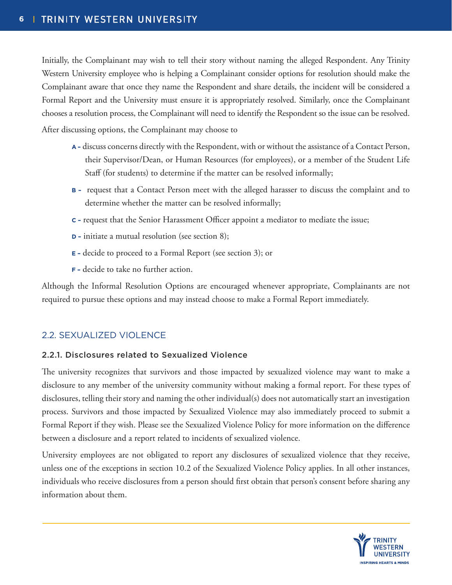Initially, the Complainant may wish to tell their story without naming the alleged Respondent. Any Trinity Western University employee who is helping a Complainant consider options for resolution should make the Complainant aware that once they name the Respondent and share details, the incident will be considered a Formal Report and the University must ensure it is appropriately resolved. Similarly, once the Complainant chooses a resolution process, the Complainant will need to identify the Respondent so the issue can be resolved.

After discussing options, the Complainant may choose to

- **A –** discuss concerns directly with the Respondent, with or without the assistance of a Contact Person, their Supervisor/Dean, or Human Resources (for employees), or a member of the Student Life Staff (for students) to determine if the matter can be resolved informally;
- **B –** request that a Contact Person meet with the alleged harasser to discuss the complaint and to determine whether the matter can be resolved informally;
- **C –** request that the Senior Harassment Officer appoint a mediator to mediate the issue;
- **D –** initiate a mutual resolution (see section 8);
- **E –** decide to proceed to a Formal Report (see section 3); or
- **F –** decide to take no further action.

Although the Informal Resolution Options are encouraged whenever appropriate, Complainants are not required to pursue these options and may instead choose to make a Formal Report immediately.

### 2.2. SEXUALIZED VIOLENCE

### 2.2.1. Disclosures related to Sexualized Violence

The university recognizes that survivors and those impacted by sexualized violence may want to make a disclosure to any member of the university community without making a formal report. For these types of disclosures, telling their story and naming the other individual(s) does not automatically start an investigation process. Survivors and those impacted by Sexualized Violence may also immediately proceed to submit a Formal Report if they wish. Please see the Sexualized Violence Policy for more information on the difference between a disclosure and a report related to incidents of sexualized violence.

University employees are not obligated to report any disclosures of sexualized violence that they receive, unless one of the exceptions in section 10.2 of the Sexualized Violence Policy applies. In all other instances, individuals who receive disclosures from a person should first obtain that person's consent before sharing any information about them.

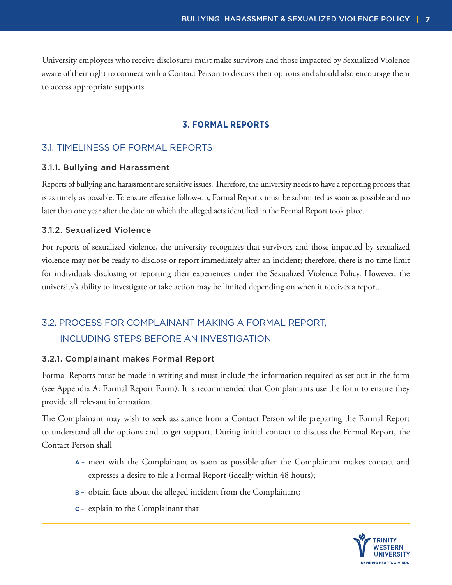University employees who receive disclosures must make survivors and those impacted by Sexualized Violence aware of their right to connect with a Contact Person to discuss their options and should also encourage them to access appropriate supports.

### **3. FORMAL REPORTS**

### 3.1. TIMELINESS OF FORMAL REPORTS

#### 3.1.1. Bullying and Harassment

Reports of bullying and harassment are sensitive issues. Therefore, the university needs to have a reporting process that is as timely as possible. To ensure effective follow-up, Formal Reports must be submitted as soon as possible and no later than one year after the date on which the alleged acts identified in the Formal Report took place.

### 3.1.2. Sexualized Violence

For reports of sexualized violence, the university recognizes that survivors and those impacted by sexualized violence may not be ready to disclose or report immediately after an incident; therefore, there is no time limit for individuals disclosing or reporting their experiences under the Sexualized Violence Policy. However, the university's ability to investigate or take action may be limited depending on when it receives a report.

### 3.2. PROCESS FOR COMPLAINANT MAKING A FORMAL REPORT, INCLUDING STEPS BEFORE AN INVESTIGATION

### 3.2.1. Complainant makes Formal Report

Formal Reports must be made in writing and must include the information required as set out in the form (see Appendix A: Formal Report Form). It is recommended that Complainants use the form to ensure they provide all relevant information.

The Complainant may wish to seek assistance from a Contact Person while preparing the Formal Report to understand all the options and to get support. During initial contact to discuss the Formal Report, the Contact Person shall

- **A –** meet with the Complainant as soon as possible after the Complainant makes contact and expresses a desire to file a Formal Report (ideally within 48 hours);
- **B –** obtain facts about the alleged incident from the Complainant;
- **C –** explain to the Complainant that

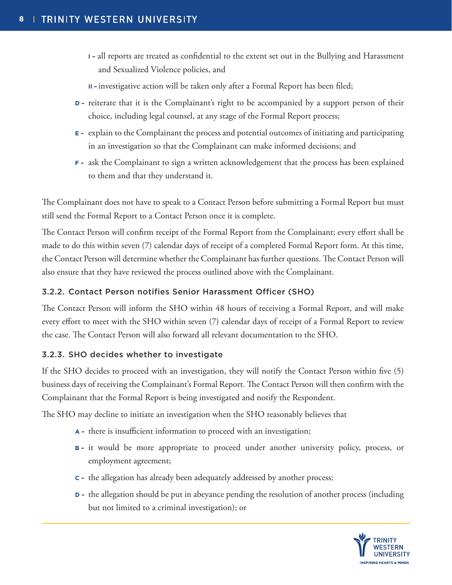- **I –** all reports are treated as confidential to the extent set out in the Bullying and Harassment and Sexualized Violence policies, and
- **II –** investigative action will be taken only after a Formal Report has been filed;
- **D** reiterate that it is the Complainant's right to be accompanied by a support person of their choice, including legal counsel, at any stage of the Formal Report process;
- **E –** explain to the Complainant the process and potential outcomes of initiating and participating in an investigation so that the Complainant can make informed decisions; and
- **F –** ask the Complainant to sign a written acknowledgement that the process has been explained to them and that they understand it.

The Complainant does not have to speak to a Contact Person before submitting a Formal Report but must still send the Formal Report to a Contact Person once it is complete.

The Contact Person will confirm receipt of the Formal Report from the Complainant; every effort shall be made to do this within seven (7) calendar days of receipt of a completed Formal Report form. At this time, the Contact Person will determine whether the Complainant has further questions. The Contact Person will also ensure that they have reviewed the process outlined above with the Complainant.

### 3.2.2. Contact Person notifies Senior Harassment Officer (SHO)

The Contact Person will inform the SHO within 48 hours of receiving a Formal Report, and will make every effort to meet with the SHO within seven (7) calendar days of receipt of a Formal Report to review the case. The Contact Person will also forward all relevant documentation to the SHO.

### 3.2.3. SHO decides whether to investigate

If the SHO decides to proceed with an investigation, they will notify the Contact Person within five (5) business days of receiving the Complainant's Formal Report. The Contact Person will then confirm with the Complainant that the Formal Report is being investigated and notify the Respondent.

The SHO may decline to initiate an investigation when the SHO reasonably believes that

- **A –** there is insufficient information to proceed with an investigation;
- **B –** it would be more appropriate to proceed under another university policy, process, or employment agreement;
- **C –** the allegation has already been adequately addressed by another process;
- **D** the allegation should be put in abeyance pending the resolution of another process (including but not limited to a criminal investigation); or

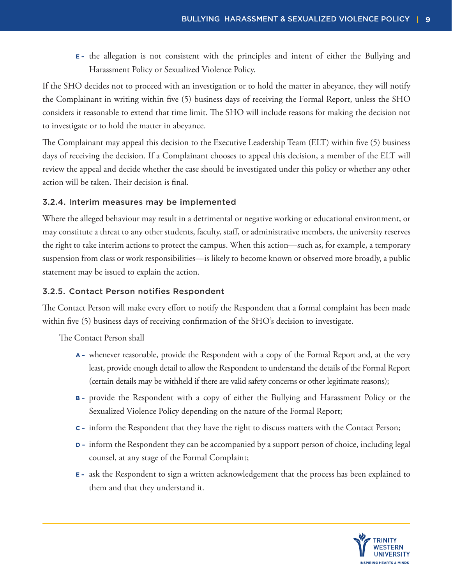**E –** the allegation is not consistent with the principles and intent of either the Bullying and Harassment Policy or Sexualized Violence Policy.

If the SHO decides not to proceed with an investigation or to hold the matter in abeyance, they will notify the Complainant in writing within five (5) business days of receiving the Formal Report, unless the SHO considers it reasonable to extend that time limit. The SHO will include reasons for making the decision not to investigate or to hold the matter in abeyance.

The Complainant may appeal this decision to the Executive Leadership Team (ELT) within five (5) business days of receiving the decision. If a Complainant chooses to appeal this decision, a member of the ELT will review the appeal and decide whether the case should be investigated under this policy or whether any other action will be taken. Their decision is final.

### 3.2.4. Interim measures may be implemented

Where the alleged behaviour may result in a detrimental or negative working or educational environment, or may constitute a threat to any other students, faculty, staff, or administrative members, the university reserves the right to take interim actions to protect the campus. When this action—such as, for example, a temporary suspension from class or work responsibilities—is likely to become known or observed more broadly, a public statement may be issued to explain the action.

### 3.2.5. Contact Person notifies Respondent

The Contact Person will make every effort to notify the Respondent that a formal complaint has been made within five (5) business days of receiving confirmation of the SHO's decision to investigate.

The Contact Person shall

- **A –** whenever reasonable, provide the Respondent with a copy of the Formal Report and, at the very least, provide enough detail to allow the Respondent to understand the details of the Formal Report (certain details may be withheld if there are valid safety concerns or other legitimate reasons);
- **B –** provide the Respondent with a copy of either the Bullying and Harassment Policy or the Sexualized Violence Policy depending on the nature of the Formal Report;
- **C –** inform the Respondent that they have the right to discuss matters with the Contact Person;
- **D –** inform the Respondent they can be accompanied by a support person of choice, including legal counsel, at any stage of the Formal Complaint;
- **E –** ask the Respondent to sign a written acknowledgement that the process has been explained to them and that they understand it.

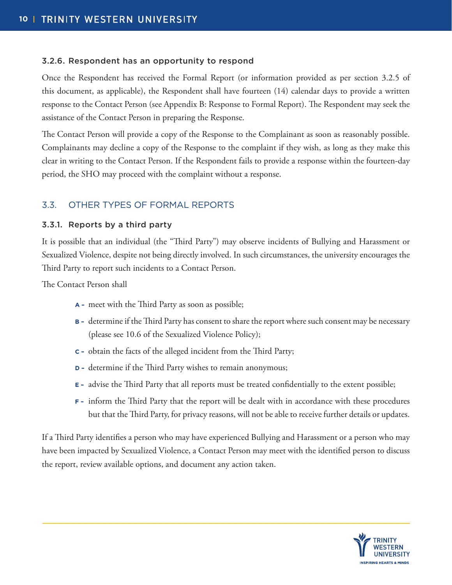### 3.2.6. Respondent has an opportunity to respond

Once the Respondent has received the Formal Report (or information provided as per section 3.2.5 of this document, as applicable), the Respondent shall have fourteen (14) calendar days to provide a written response to the Contact Person (see Appendix B: Response to Formal Report). The Respondent may seek the assistance of the Contact Person in preparing the Response.

The Contact Person will provide a copy of the Response to the Complainant as soon as reasonably possible. Complainants may decline a copy of the Response to the complaint if they wish, as long as they make this clear in writing to the Contact Person. If the Respondent fails to provide a response within the fourteen-day period, the SHO may proceed with the complaint without a response.

### 3.3. OTHER TYPES OF FORMAL REPORTS

### 3.3.1. Reports by a third party

It is possible that an individual (the "Third Party") may observe incidents of Bullying and Harassment or Sexualized Violence, despite not being directly involved. In such circumstances, the university encourages the Third Party to report such incidents to a Contact Person.

The Contact Person shall

- **A –** meet with the Third Party as soon as possible;
- **B –** determine if the Third Party has consent to share the report where such consent may be necessary (please see 10.6 of the Sexualized Violence Policy);
- **C –** obtain the facts of the alleged incident from the Third Party;
- **D –** determine if the Third Party wishes to remain anonymous;
- **E –** advise the Third Party that all reports must be treated confidentially to the extent possible;
- **F –** inform the Third Party that the report will be dealt with in accordance with these procedures but that the Third Party, for privacy reasons, will not be able to receive further details or updates.

If a Third Party identifies a person who may have experienced Bullying and Harassment or a person who may have been impacted by Sexualized Violence, a Contact Person may meet with the identified person to discuss the report, review available options, and document any action taken.

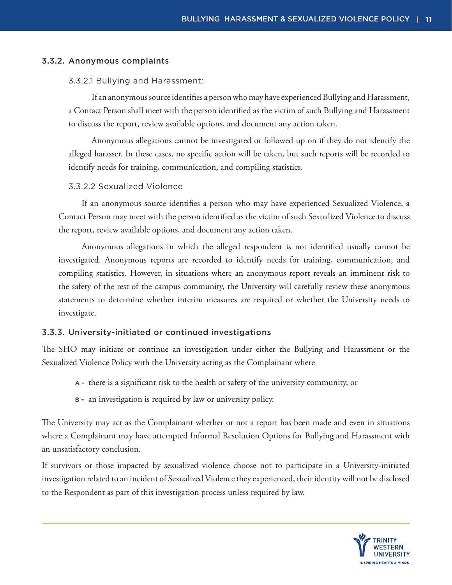### 3.3.2. Anonymous complaints

### 3.3.2.1 Bullying and Harassment:

If an anonymous source identifies a person who may have experienced Bullying and Harassment, a Contact Person shall meet with the person identified as the victim of such Bullying and Harassment to discuss the report, review available options, and document any action taken.

Anonymous allegations cannot be investigated or followed up on if they do not identify the alleged harasser. In these cases, no specific action will be taken, but such reports will be recorded to identify needs for training, communication, and compiling statistics.

### 3.3.2.2 Sexualized Violence

If an anonymous source identifies a person who may have experienced Sexualized Violence, a Contact Person may meet with the person identified as the victim of such Sexualized Violence to discuss the report, review available options, and document any action taken.

Anonymous allegations in which the alleged respondent is not identified usually cannot be investigated. Anonymous reports are recorded to identify needs for training, communication, and compiling statistics. However, in situations where an anonymous report reveals an imminent risk to the safety of the rest of the campus community, the University will carefully review these anonymous statements to determine whether interim measures are required or whether the University needs to investigate.

### 3.3.3. University-initiated or continued investigations

The SHO may initiate or continue an investigation under either the Bullying and Harassment or the Sexualized Violence Policy with the University acting as the Complainant where

- **A –** there is a significant risk to the health or safety of the university community, or
- **B –** an investigation is required by law or university policy.

The University may act as the Complainant whether or not a report has been made and even in situations where a Complainant may have attempted Informal Resolution Options for Bullying and Harassment with an unsatisfactory conclusion.

If survivors or those impacted by sexualized violence choose not to participate in a University-initiated investigation related to an incident of Sexualized Violence they experienced, their identity will not be disclosed to the Respondent as part of this investigation process unless required by law.

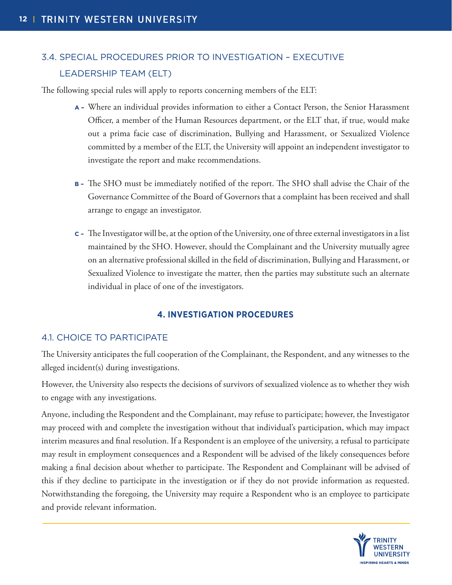### 3.4. SPECIAL PROCEDURES PRIOR TO INVESTIGATION – EXECUTIVE LEADERSHIP TEAM (ELT)

The following special rules will apply to reports concerning members of the ELT:

- **A –** Where an individual provides information to either a Contact Person, the Senior Harassment Officer, a member of the Human Resources department, or the ELT that, if true, would make out a prima facie case of discrimination, Bullying and Harassment, or Sexualized Violence committed by a member of the ELT, the University will appoint an independent investigator to investigate the report and make recommendations.
- **B –** The SHO must be immediately notified of the report. The SHO shall advise the Chair of the Governance Committee of the Board of Governors that a complaint has been received and shall arrange to engage an investigator.
- **C –** The Investigator will be, at the option of the University, one of three external investigators in a list maintained by the SHO. However, should the Complainant and the University mutually agree on an alternative professional skilled in the field of discrimination, Bullying and Harassment, or Sexualized Violence to investigate the matter, then the parties may substitute such an alternate individual in place of one of the investigators.

### **4. INVESTIGATION PROCEDURES**

### 4.1. CHOICE TO PARTICIPATE

The University anticipates the full cooperation of the Complainant, the Respondent, and any witnesses to the alleged incident(s) during investigations.

However, the University also respects the decisions of survivors of sexualized violence as to whether they wish to engage with any investigations.

Anyone, including the Respondent and the Complainant, may refuse to participate; however, the Investigator may proceed with and complete the investigation without that individual's participation, which may impact interim measures and final resolution. If a Respondent is an employee of the university, a refusal to participate may result in employment consequences and a Respondent will be advised of the likely consequences before making a final decision about whether to participate. The Respondent and Complainant will be advised of this if they decline to participate in the investigation or if they do not provide information as requested. Notwithstanding the foregoing, the University may require a Respondent who is an employee to participate and provide relevant information.

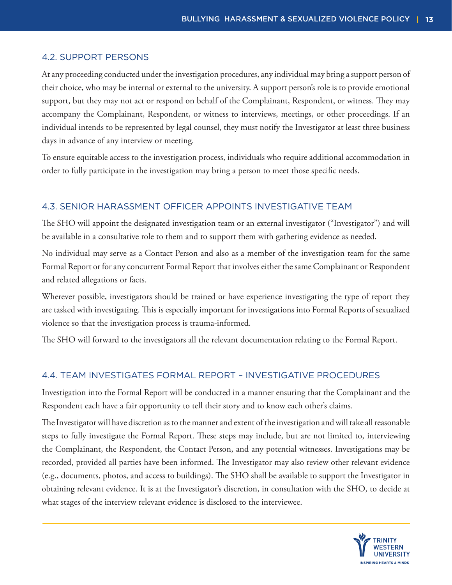### 4.2. SUPPORT PERSONS

At any proceeding conducted under the investigation procedures, any individual may bring a support person of their choice, who may be internal or external to the university. A support person's role is to provide emotional support, but they may not act or respond on behalf of the Complainant, Respondent, or witness. They may accompany the Complainant, Respondent, or witness to interviews, meetings, or other proceedings. If an individual intends to be represented by legal counsel, they must notify the Investigator at least three business days in advance of any interview or meeting.

To ensure equitable access to the investigation process, individuals who require additional accommodation in order to fully participate in the investigation may bring a person to meet those specific needs.

### 4.3. SENIOR HARASSMENT OFFICER APPOINTS INVESTIGATIVE TEAM

The SHO will appoint the designated investigation team or an external investigator ("Investigator") and will be available in a consultative role to them and to support them with gathering evidence as needed.

No individual may serve as a Contact Person and also as a member of the investigation team for the same Formal Report or for any concurrent Formal Report that involves either the same Complainant or Respondent and related allegations or facts.

Wherever possible, investigators should be trained or have experience investigating the type of report they are tasked with investigating. This is especially important for investigations into Formal Reports of sexualized violence so that the investigation process is trauma-informed.

The SHO will forward to the investigators all the relevant documentation relating to the Formal Report.

### 4.4. TEAM INVESTIGATES FORMAL REPORT – INVESTIGATIVE PROCEDURES

Investigation into the Formal Report will be conducted in a manner ensuring that the Complainant and the Respondent each have a fair opportunity to tell their story and to know each other's claims.

The Investigator will have discretion as to the manner and extent of the investigation and will take all reasonable steps to fully investigate the Formal Report. These steps may include, but are not limited to, interviewing the Complainant, the Respondent, the Contact Person, and any potential witnesses. Investigations may be recorded, provided all parties have been informed. The Investigator may also review other relevant evidence (e.g., documents, photos, and access to buildings). The SHO shall be available to support the Investigator in obtaining relevant evidence. It is at the Investigator's discretion, in consultation with the SHO, to decide at what stages of the interview relevant evidence is disclosed to the interviewee.

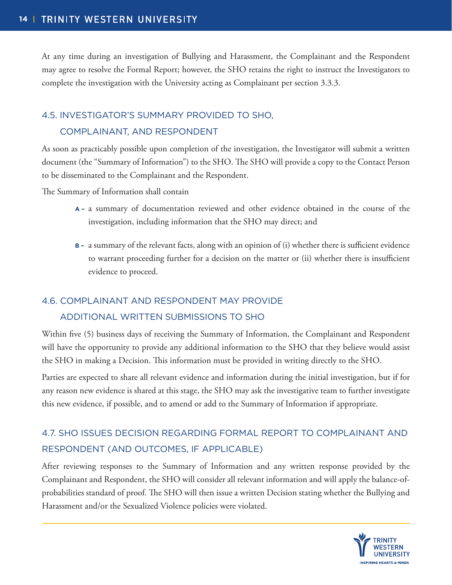At any time during an investigation of Bullying and Harassment, the Complainant and the Respondent may agree to resolve the Formal Report; however, the SHO retains the right to instruct the Investigators to complete the investigation with the University acting as Complainant per section 3.3.3.

### 4.5. INVESTIGATOR'S SUMMARY PROVIDED TO SHO,

### COMPLAINANT, AND RESPONDENT

As soon as practicably possible upon completion of the investigation, the Investigator will submit a written document (the "Summary of Information") to the SHO. The SHO will provide a copy to the Contact Person to be disseminated to the Complainant and the Respondent.

The Summary of Information shall contain

- **A –** a summary of documentation reviewed and other evidence obtained in the course of the investigation, including information that the SHO may direct; and
- **B –** a summary of the relevant facts, along with an opinion of (i) whether there is sufficient evidence to warrant proceeding further for a decision on the matter or (ii) whether there is insufficient evidence to proceed.

### 4.6. COMPLAINANT AND RESPONDENT MAY PROVIDE

### ADDITIONAL WRITTEN SUBMISSIONS TO SHO

Within five (5) business days of receiving the Summary of Information, the Complainant and Respondent will have the opportunity to provide any additional information to the SHO that they believe would assist the SHO in making a Decision. This information must be provided in writing directly to the SHO.

Parties are expected to share all relevant evidence and information during the initial investigation, but if for any reason new evidence is shared at this stage, the SHO may ask the investigative team to further investigate this new evidence, if possible, and to amend or add to the Summary of Information if appropriate.

### 4.7. SHO ISSUES DECISION REGARDING FORMAL REPORT TO COMPLAINANT AND RESPONDENT (AND OUTCOMES, IF APPLICABLE)

After reviewing responses to the Summary of Information and any written response provided by the Complainant and Respondent, the SHO will consider all relevant information and will apply the balance-ofprobabilities standard of proof. The SHO will then issue a written Decision stating whether the Bullying and Harassment and/or the Sexualized Violence policies were violated.

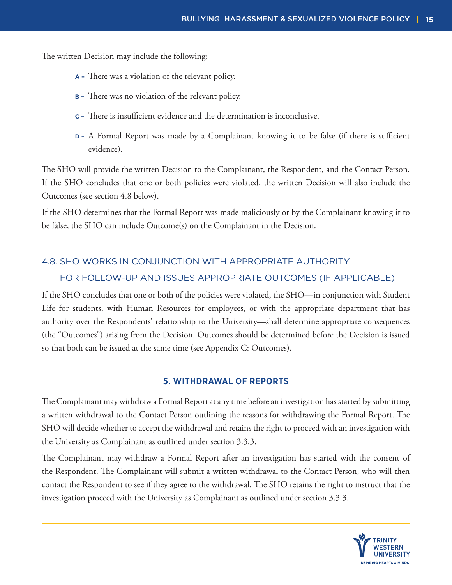The written Decision may include the following:

- **A –** There was a violation of the relevant policy.
- **B –** There was no violation of the relevant policy.
- **C –** There is insufficient evidence and the determination is inconclusive.
- **D –** A Formal Report was made by a Complainant knowing it to be false (if there is sufficient evidence).

The SHO will provide the written Decision to the Complainant, the Respondent, and the Contact Person. If the SHO concludes that one or both policies were violated, the written Decision will also include the Outcomes (see section 4.8 below).

If the SHO determines that the Formal Report was made maliciously or by the Complainant knowing it to be false, the SHO can include Outcome(s) on the Complainant in the Decision.

### 4.8. SHO WORKS IN CONJUNCTION WITH APPROPRIATE AUTHORITY FOR FOLLOW-UP AND ISSUES APPROPRIATE OUTCOMES (IF APPLICABLE)

If the SHO concludes that one or both of the policies were violated, the SHO—in conjunction with Student Life for students, with Human Resources for employees, or with the appropriate department that has authority over the Respondents' relationship to the University—shall determine appropriate consequences (the "Outcomes") arising from the Decision. Outcomes should be determined before the Decision is issued so that both can be issued at the same time (see Appendix C: Outcomes).

### **5. WITHDRAWAL OF REPORTS**

The Complainant may withdraw a Formal Report at any time before an investigation has started by submitting a written withdrawal to the Contact Person outlining the reasons for withdrawing the Formal Report. The SHO will decide whether to accept the withdrawal and retains the right to proceed with an investigation with the University as Complainant as outlined under section 3.3.3.

The Complainant may withdraw a Formal Report after an investigation has started with the consent of the Respondent. The Complainant will submit a written withdrawal to the Contact Person, who will then contact the Respondent to see if they agree to the withdrawal. The SHO retains the right to instruct that the investigation proceed with the University as Complainant as outlined under section 3.3.3.

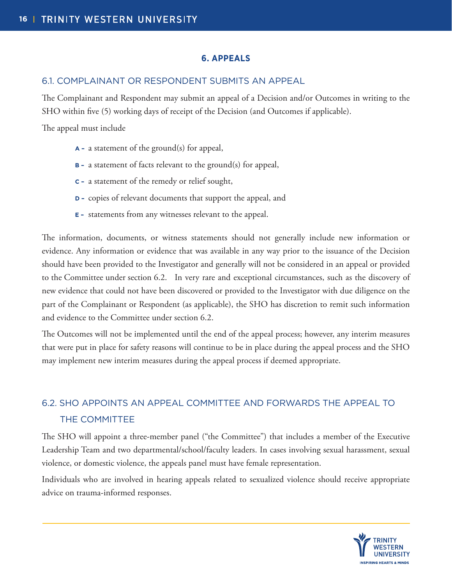### **6. APPEALS**

### 6.1. COMPLAINANT OR RESPONDENT SUBMITS AN APPEAL

The Complainant and Respondent may submit an appeal of a Decision and/or Outcomes in writing to the SHO within five (5) working days of receipt of the Decision (and Outcomes if applicable).

The appeal must include

- **A –** a statement of the ground(s) for appeal,
- **B –** a statement of facts relevant to the ground(s) for appeal,
- **C –** a statement of the remedy or relief sought,
- **D –** copies of relevant documents that support the appeal, and
- **E –** statements from any witnesses relevant to the appeal.

The information, documents, or witness statements should not generally include new information or evidence. Any information or evidence that was available in any way prior to the issuance of the Decision should have been provided to the Investigator and generally will not be considered in an appeal or provided to the Committee under section 6.2. In very rare and exceptional circumstances, such as the discovery of new evidence that could not have been discovered or provided to the Investigator with due diligence on the part of the Complainant or Respondent (as applicable), the SHO has discretion to remit such information and evidence to the Committee under section 6.2.

The Outcomes will not be implemented until the end of the appeal process; however, any interim measures that were put in place for safety reasons will continue to be in place during the appeal process and the SHO may implement new interim measures during the appeal process if deemed appropriate.

### 6.2. SHO APPOINTS AN APPEAL COMMITTEE AND FORWARDS THE APPEAL TO THE COMMITTEE

The SHO will appoint a three-member panel ("the Committee") that includes a member of the Executive Leadership Team and two departmental/school/faculty leaders. In cases involving sexual harassment, sexual violence, or domestic violence, the appeals panel must have female representation.

Individuals who are involved in hearing appeals related to sexualized violence should receive appropriate advice on trauma-informed responses.

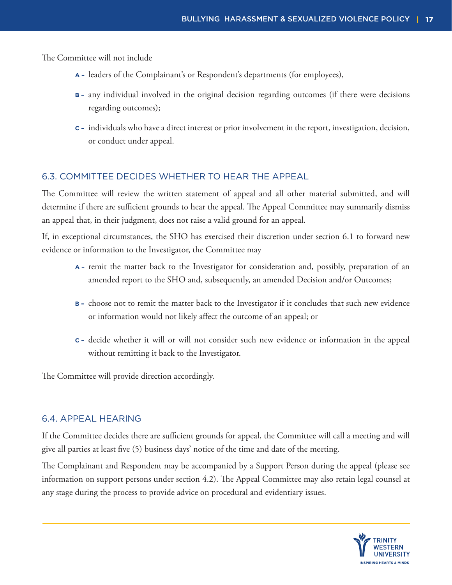The Committee will not include

- **A –** leaders of the Complainant's or Respondent's departments (for employees),
- **B –** any individual involved in the original decision regarding outcomes (if there were decisions regarding outcomes);
- **C –** individuals who have a direct interest or prior involvement in the report, investigation, decision, or conduct under appeal.

### 6.3. COMMITTEE DECIDES WHETHER TO HEAR THE APPEAL

The Committee will review the written statement of appeal and all other material submitted, and will determine if there are sufficient grounds to hear the appeal. The Appeal Committee may summarily dismiss an appeal that, in their judgment, does not raise a valid ground for an appeal.

If, in exceptional circumstances, the SHO has exercised their discretion under section 6.1 to forward new evidence or information to the Investigator, the Committee may

- **A –** remit the matter back to the Investigator for consideration and, possibly, preparation of an amended report to the SHO and, subsequently, an amended Decision and/or Outcomes;
- **B –** choose not to remit the matter back to the Investigator if it concludes that such new evidence or information would not likely affect the outcome of an appeal; or
- **C –** decide whether it will or will not consider such new evidence or information in the appeal without remitting it back to the Investigator.

The Committee will provide direction accordingly.

### 6.4. APPEAL HEARING

If the Committee decides there are sufficient grounds for appeal, the Committee will call a meeting and will give all parties at least five (5) business days' notice of the time and date of the meeting.

The Complainant and Respondent may be accompanied by a Support Person during the appeal (please see information on support persons under section 4.2). The Appeal Committee may also retain legal counsel at any stage during the process to provide advice on procedural and evidentiary issues.

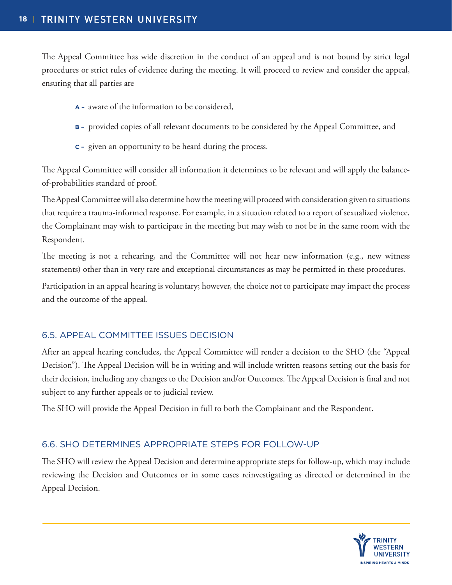The Appeal Committee has wide discretion in the conduct of an appeal and is not bound by strict legal procedures or strict rules of evidence during the meeting. It will proceed to review and consider the appeal, ensuring that all parties are

- **A –** aware of the information to be considered,
- **B –** provided copies of all relevant documents to be considered by the Appeal Committee, and
- **C –** given an opportunity to be heard during the process.

The Appeal Committee will consider all information it determines to be relevant and will apply the balanceof-probabilities standard of proof.

The Appeal Committee will also determine how the meeting will proceed with consideration given to situations that require a trauma-informed response. For example, in a situation related to a report of sexualized violence, the Complainant may wish to participate in the meeting but may wish to not be in the same room with the Respondent.

The meeting is not a rehearing, and the Committee will not hear new information (e.g., new witness statements) other than in very rare and exceptional circumstances as may be permitted in these procedures.

Participation in an appeal hearing is voluntary; however, the choice not to participate may impact the process and the outcome of the appeal.

### 6.5. APPEAL COMMITTEE ISSUES DECISION

After an appeal hearing concludes, the Appeal Committee will render a decision to the SHO (the "Appeal Decision"). The Appeal Decision will be in writing and will include written reasons setting out the basis for their decision, including any changes to the Decision and/or Outcomes. The Appeal Decision is final and not subject to any further appeals or to judicial review.

The SHO will provide the Appeal Decision in full to both the Complainant and the Respondent.

### 6.6. SHO DETERMINES APPROPRIATE STEPS FOR FOLLOW-UP

The SHO will review the Appeal Decision and determine appropriate steps for follow-up, which may include reviewing the Decision and Outcomes or in some cases reinvestigating as directed or determined in the Appeal Decision.

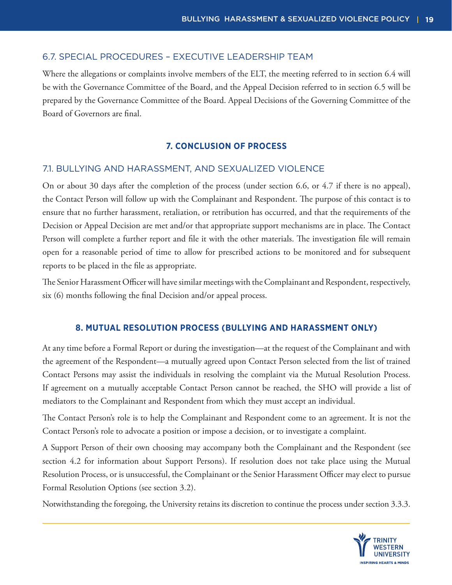### 6.7. SPECIAL PROCEDURES – EXECUTIVE LEADERSHIP TEAM

Where the allegations or complaints involve members of the ELT, the meeting referred to in section 6.4 will be with the Governance Committee of the Board, and the Appeal Decision referred to in section 6.5 will be prepared by the Governance Committee of the Board. Appeal Decisions of the Governing Committee of the Board of Governors are final.

### **7. CONCLUSION OF PROCESS**

### 7.1. BULLYING AND HARASSMENT, AND SEXUALIZED VIOLENCE

On or about 30 days after the completion of the process (under section 6.6, or 4.7 if there is no appeal), the Contact Person will follow up with the Complainant and Respondent. The purpose of this contact is to ensure that no further harassment, retaliation, or retribution has occurred, and that the requirements of the Decision or Appeal Decision are met and/or that appropriate support mechanisms are in place. The Contact Person will complete a further report and file it with the other materials. The investigation file will remain open for a reasonable period of time to allow for prescribed actions to be monitored and for subsequent reports to be placed in the file as appropriate.

The Senior Harassment Officer will have similar meetings with the Complainant and Respondent, respectively, six (6) months following the final Decision and/or appeal process.

#### **8. MUTUAL RESOLUTION PROCESS (BULLYING AND HARASSMENT ONLY)**

At any time before a Formal Report or during the investigation—at the request of the Complainant and with the agreement of the Respondent—a mutually agreed upon Contact Person selected from the list of trained Contact Persons may assist the individuals in resolving the complaint via the Mutual Resolution Process. If agreement on a mutually acceptable Contact Person cannot be reached, the SHO will provide a list of mediators to the Complainant and Respondent from which they must accept an individual.

The Contact Person's role is to help the Complainant and Respondent come to an agreement. It is not the Contact Person's role to advocate a position or impose a decision, or to investigate a complaint.

A Support Person of their own choosing may accompany both the Complainant and the Respondent (see section 4.2 for information about Support Persons). If resolution does not take place using the Mutual Resolution Process, or is unsuccessful, the Complainant or the Senior Harassment Officer may elect to pursue Formal Resolution Options (see section 3.2).

Notwithstanding the foregoing, the University retains its discretion to continue the process under section 3.3.3.

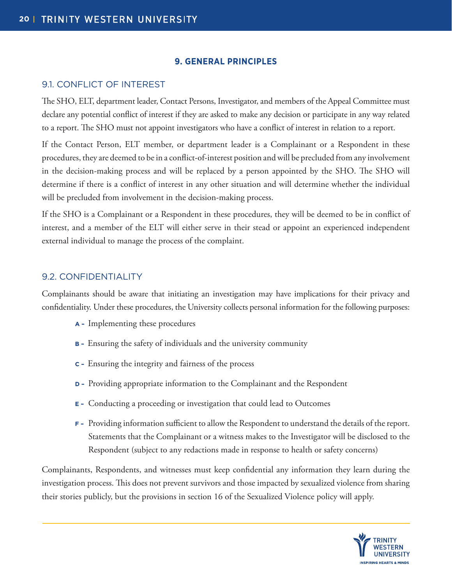### **9. GENERAL PRINCIPLES**

### 9.1. CONFLICT OF INTEREST

The SHO, ELT, department leader, Contact Persons, Investigator, and members of the Appeal Committee must declare any potential conflict of interest if they are asked to make any decision or participate in any way related to a report. The SHO must not appoint investigators who have a conflict of interest in relation to a report.

If the Contact Person, ELT member, or department leader is a Complainant or a Respondent in these procedures, they are deemed to be in a conflict-of-interest position and will be precluded from any involvement in the decision-making process and will be replaced by a person appointed by the SHO. The SHO will determine if there is a conflict of interest in any other situation and will determine whether the individual will be precluded from involvement in the decision-making process.

If the SHO is a Complainant or a Respondent in these procedures, they will be deemed to be in conflict of interest, and a member of the ELT will either serve in their stead or appoint an experienced independent external individual to manage the process of the complaint.

### 9.2. CONFIDENTIALITY

Complainants should be aware that initiating an investigation may have implications for their privacy and confidentiality. Under these procedures, the University collects personal information for the following purposes:

- **A** Implementing these procedures
- **B** Ensuring the safety of individuals and the university community
- **C** Ensuring the integrity and fairness of the process
- **D** Providing appropriate information to the Complainant and the Respondent
- **E** Conducting a proceeding or investigation that could lead to Outcomes
- **F** Providing information sufficient to allow the Respondent to understand the details of the report. Statements that the Complainant or a witness makes to the Investigator will be disclosed to the Respondent (subject to any redactions made in response to health or safety concerns)

Complainants, Respondents, and witnesses must keep confidential any information they learn during the investigation process. This does not prevent survivors and those impacted by sexualized violence from sharing their stories publicly, but the provisions in section 16 of the Sexualized Violence policy will apply.

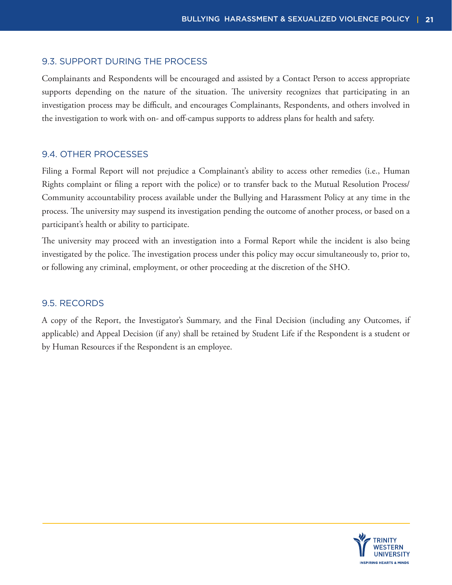### 9.3. SUPPORT DURING THE PROCESS

Complainants and Respondents will be encouraged and assisted by a Contact Person to access appropriate supports depending on the nature of the situation. The university recognizes that participating in an investigation process may be difficult, and encourages Complainants, Respondents, and others involved in the investigation to work with on- and off-campus supports to address plans for health and safety.

### 9.4. OTHER PROCESSES

Filing a Formal Report will not prejudice a Complainant's ability to access other remedies (i.e., Human Rights complaint or filing a report with the police) or to transfer back to the Mutual Resolution Process/ Community accountability process available under the Bullying and Harassment Policy at any time in the process. The university may suspend its investigation pending the outcome of another process, or based on a participant's health or ability to participate.

The university may proceed with an investigation into a Formal Report while the incident is also being investigated by the police. The investigation process under this policy may occur simultaneously to, prior to, or following any criminal, employment, or other proceeding at the discretion of the SHO.

### 9.5. RECORDS

A copy of the Report, the Investigator's Summary, and the Final Decision (including any Outcomes, if applicable) and Appeal Decision (if any) shall be retained by Student Life if the Respondent is a student or by Human Resources if the Respondent is an employee.

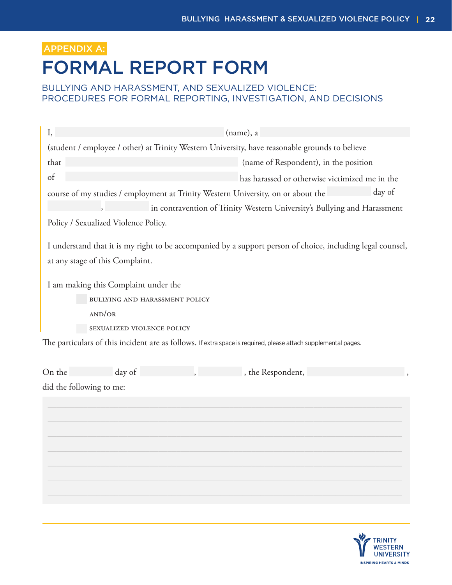## FORMAL REPORT FORM APPENDIX A:

### BULLYING AND HARASSMENT, AND SEXUALIZED VIOLENCE: PROCEDURES FOR FORMAL REPORTING, INVESTIGATION, AND DECISIONS

| I,     |                                                | (name), a                                                                                                      |  |  |  |  |
|--------|------------------------------------------------|----------------------------------------------------------------------------------------------------------------|--|--|--|--|
|        |                                                | (student / employee / other) at Trinity Western University, have reasonable grounds to believe                 |  |  |  |  |
| that   | (name of Respondent), in the position          |                                                                                                                |  |  |  |  |
| of     | has harassed or otherwise victimized me in the |                                                                                                                |  |  |  |  |
|        |                                                | day of<br>course of my studies / employment at Trinity Western University, on or about the                     |  |  |  |  |
|        |                                                | in contravention of Trinity Western University's Bullying and Harassment                                       |  |  |  |  |
|        | Policy / Sexualized Violence Policy.           |                                                                                                                |  |  |  |  |
|        | at any stage of this Complaint.                | I understand that it is my right to be accompanied by a support person of choice, including legal counsel,     |  |  |  |  |
|        | I am making this Complaint under the           |                                                                                                                |  |  |  |  |
|        | BULLYING AND HARASSMENT POLICY                 |                                                                                                                |  |  |  |  |
|        | AND/OR                                         |                                                                                                                |  |  |  |  |
|        | SEXUALIZED VIOLENCE POLICY                     |                                                                                                                |  |  |  |  |
|        |                                                | The particulars of this incident are as follows. If extra space is required, please attach supplemental pages. |  |  |  |  |
| On the | day of                                         | , the Respondent,                                                                                              |  |  |  |  |
|        | did the following to me:                       |                                                                                                                |  |  |  |  |
|        |                                                |                                                                                                                |  |  |  |  |
|        |                                                |                                                                                                                |  |  |  |  |
|        |                                                |                                                                                                                |  |  |  |  |
|        |                                                |                                                                                                                |  |  |  |  |
|        |                                                |                                                                                                                |  |  |  |  |
|        |                                                |                                                                                                                |  |  |  |  |
|        |                                                |                                                                                                                |  |  |  |  |

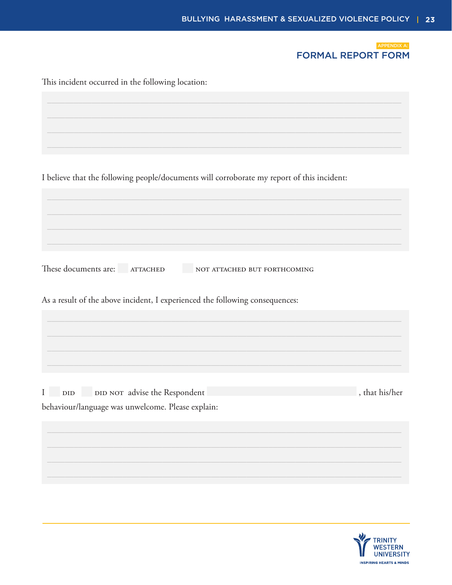

| This incident occurred in the following location:                                          |                |  |  |
|--------------------------------------------------------------------------------------------|----------------|--|--|
|                                                                                            |                |  |  |
|                                                                                            |                |  |  |
|                                                                                            |                |  |  |
| I believe that the following people/documents will corroborate my report of this incident: |                |  |  |
|                                                                                            |                |  |  |
|                                                                                            |                |  |  |
|                                                                                            |                |  |  |
| These documents are: ATTACHED<br>NOT ATTACHED BUT FORTHCOMING                              |                |  |  |
| As a result of the above incident, I experienced the following consequences:               |                |  |  |
|                                                                                            |                |  |  |
|                                                                                            |                |  |  |
|                                                                                            |                |  |  |
| DID NOT advise the Respondent<br>$\mathbf{I}$<br>$\rm DID$                                 | , that his/her |  |  |
| behaviour/language was unwelcome. Please explain:                                          |                |  |  |
|                                                                                            |                |  |  |
|                                                                                            |                |  |  |
|                                                                                            |                |  |  |

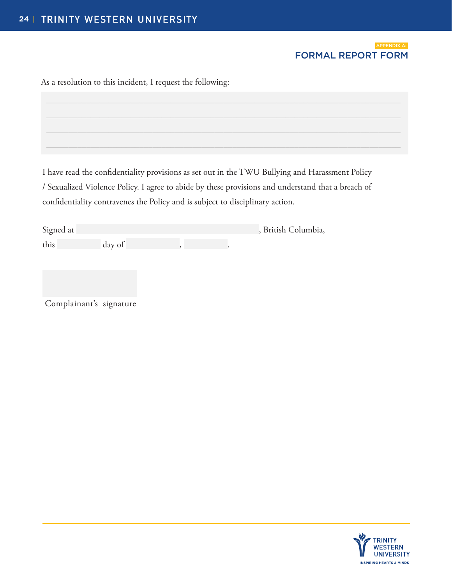## FORMAL REPORT FORM

| As a resolution to this incident, I request the following: |
|------------------------------------------------------------|
|                                                            |
|                                                            |
|                                                            |

I have read the confidentiality provisions as set out in the TWU Bullying and Harassment Policy / Sexualized Violence Policy. I agree to abide by these provisions and understand that a breach of confidentiality contravenes the Policy and is subject to disciplinary action.

| Signed at |        |  | , British Columbia, |
|-----------|--------|--|---------------------|
| this      | day of |  |                     |

Complainant's signature

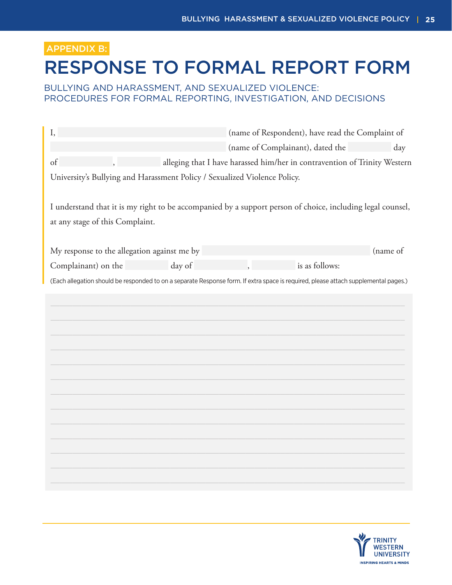### APPENDIX B:

## RESPONSE TO FORMAL REPORT FORM

### BULLYING AND HARASSMENT, AND SEXUALIZED VIOLENCE: PROCEDURES FOR FORMAL REPORTING, INVESTIGATION, AND DECISIONS

| I,                                          | (name of Respondent), have read the Complaint of |        |                                                                           |                                                                                                                                     |          |
|---------------------------------------------|--------------------------------------------------|--------|---------------------------------------------------------------------------|-------------------------------------------------------------------------------------------------------------------------------------|----------|
|                                             |                                                  |        | (name of Complainant), dated the<br>day                                   |                                                                                                                                     |          |
| of                                          |                                                  |        |                                                                           | alleging that I have harassed him/her in contravention of Trinity Western                                                           |          |
|                                             |                                                  |        | University's Bullying and Harassment Policy / Sexualized Violence Policy. |                                                                                                                                     |          |
|                                             |                                                  |        |                                                                           |                                                                                                                                     |          |
|                                             |                                                  |        |                                                                           | I understand that it is my right to be accompanied by a support person of choice, including legal counsel,                          |          |
| at any stage of this Complaint.             |                                                  |        |                                                                           |                                                                                                                                     |          |
|                                             |                                                  |        |                                                                           |                                                                                                                                     |          |
| My response to the allegation against me by |                                                  |        |                                                                           |                                                                                                                                     | (name of |
| Complainant) on the                         |                                                  | day of |                                                                           | is as follows:                                                                                                                      |          |
|                                             |                                                  |        |                                                                           | (Each allegation should be responded to on a separate Response form. If extra space is required, please attach supplemental pages.) |          |
|                                             |                                                  |        |                                                                           |                                                                                                                                     |          |
|                                             |                                                  |        |                                                                           |                                                                                                                                     |          |
|                                             |                                                  |        |                                                                           |                                                                                                                                     |          |
|                                             |                                                  |        |                                                                           |                                                                                                                                     |          |
|                                             |                                                  |        |                                                                           |                                                                                                                                     |          |
|                                             |                                                  |        |                                                                           |                                                                                                                                     |          |
|                                             |                                                  |        |                                                                           |                                                                                                                                     |          |
|                                             |                                                  |        |                                                                           |                                                                                                                                     |          |
|                                             |                                                  |        |                                                                           |                                                                                                                                     |          |
|                                             |                                                  |        |                                                                           |                                                                                                                                     |          |
|                                             |                                                  |        |                                                                           |                                                                                                                                     |          |
|                                             |                                                  |        |                                                                           |                                                                                                                                     |          |
|                                             |                                                  |        |                                                                           |                                                                                                                                     |          |
|                                             |                                                  |        |                                                                           |                                                                                                                                     |          |

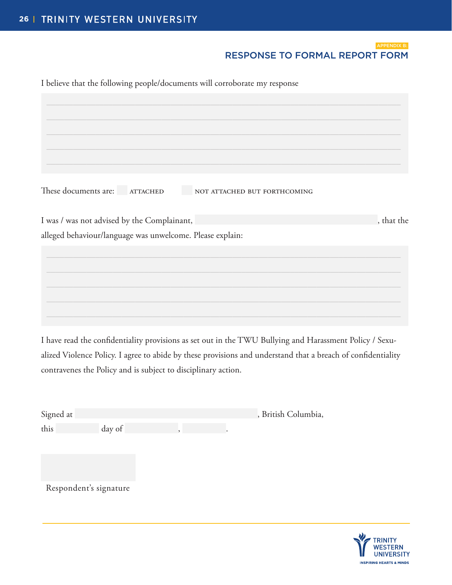## RESPONSE TO FORMAL REPORT FORM

I believe that the following people/documents will corroborate my response

These documents are: <br> ATTACHED NOT ATTACHED BUT FORTHCOMING I was / was not advised by the Complainant,  $\blacksquare$ alleged behaviour/language was unwelcome. Please explain:  $\_$  , and the set of the set of the set of the set of the set of the set of the set of the set of the set of the set of the set of the set of the set of the set of the set of the set of the set of the set of the set of th  $\_$  , and the set of the set of the set of the set of the set of the set of the set of the set of the set of the set of the set of the set of the set of the set of the set of the set of the set of the set of the set of th  $\_$  , and the set of the set of the set of the set of the set of the set of the set of the set of the set of the set of the set of the set of the set of the set of the set of the set of the set of the set of the set of th  $\_$  , and the set of the set of the set of the set of the set of the set of the set of the set of the set of the set of the set of the set of the set of the set of the set of the set of the set of the set of the set of th  $\_$  , and the set of the set of the set of the set of the set of the set of the set of the set of the set of the set of the set of the set of the set of the set of the set of the set of the set of the set of the set of th  $\_$  , and the set of the set of the set of the set of the set of the set of the set of the set of the set of the set of the set of the set of the set of the set of the set of the set of the set of the set of the set of th  $\_$  , and the set of the set of the set of the set of the set of the set of the set of the set of the set of the set of the set of the set of the set of the set of the set of the set of the set of the set of the set of th  $\_$  , and the set of the set of the set of the set of the set of the set of the set of the set of the set of the set of the set of the set of the set of the set of the set of the set of the set of the set of the set of th  $\_$  , and the set of the set of the set of the set of the set of the set of the set of the set of the set of the set of the set of the set of the set of the set of the set of the set of the set of the set of the set of th  $\_$  , and the set of the set of the set of the set of the set of the set of the set of the set of the set of the set of the set of the set of the set of the set of the set of the set of the set of the set of the set of th

I have read the confidentiality provisions as set out in the TWU Bullying and Harassment Policy / Sexualized Violence Policy. I agree to abide by these provisions and understand that a breach of confidentiality contravenes the Policy and is subject to disciplinary action.

| Signed at |        |  | , British Columbia, |
|-----------|--------|--|---------------------|
| this      | day of |  |                     |

Respondent's signature

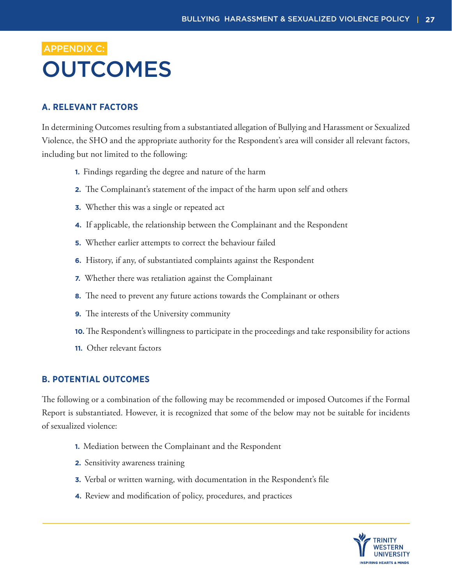# **OUTCOMES** APPENDIX C:

### **A. RELEVANT FACTORS**

In determining Outcomes resulting from a substantiated allegation of Bullying and Harassment or Sexualized Violence, the SHO and the appropriate authority for the Respondent's area will consider all relevant factors, including but not limited to the following:

- **1.** Findings regarding the degree and nature of the harm
- **2.** The Complainant's statement of the impact of the harm upon self and others
- **3.** Whether this was a single or repeated act
- **4.** If applicable, the relationship between the Complainant and the Respondent
- **5.** Whether earlier attempts to correct the behaviour failed
- **6.** History, if any, of substantiated complaints against the Respondent
- **7.** Whether there was retaliation against the Complainant
- **8.** The need to prevent any future actions towards the Complainant or others
- **9.** The interests of the University community
- **10.** The Respondent's willingness to participate in the proceedings and take responsibility for actions
- **11.** Other relevant factors

### **B. POTENTIAL OUTCOMES**

The following or a combination of the following may be recommended or imposed Outcomes if the Formal Report is substantiated. However, it is recognized that some of the below may not be suitable for incidents of sexualized violence:

- **1.** Mediation between the Complainant and the Respondent
- **2.** Sensitivity awareness training
- **3.** Verbal or written warning, with documentation in the Respondent's file
- **4.** Review and modification of policy, procedures, and practices

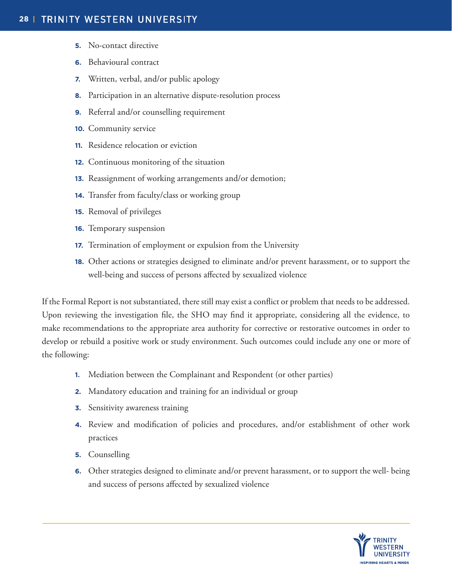- **5.** No-contact directive
- **6.** Behavioural contract
- **7.** Written, verbal, and/or public apology
- **8.** Participation in an alternative dispute-resolution process
- **9.** Referral and/or counselling requirement
- **10.** Community service
- **11.** Residence relocation or eviction
- **12.** Continuous monitoring of the situation
- **13.** Reassignment of working arrangements and/or demotion;
- **14.** Transfer from faculty/class or working group
- **15.** Removal of privileges
- **16.** Temporary suspension
- **17.** Termination of employment or expulsion from the University
- **18.** Other actions or strategies designed to eliminate and/or prevent harassment, or to support the well-being and success of persons affected by sexualized violence

If the Formal Report is not substantiated, there still may exist a conflict or problem that needs to be addressed. Upon reviewing the investigation file, the SHO may find it appropriate, considering all the evidence, to make recommendations to the appropriate area authority for corrective or restorative outcomes in order to develop or rebuild a positive work or study environment. Such outcomes could include any one or more of the following:

- **1.** Mediation between the Complainant and Respondent (or other parties)
- **2.** Mandatory education and training for an individual or group
- **3.** Sensitivity awareness training
- **4.** Review and modification of policies and procedures, and/or establishment of other work practices
- **5.** Counselling
- **6.** Other strategies designed to eliminate and/or prevent harassment, or to support the well- being and success of persons affected by sexualized violence